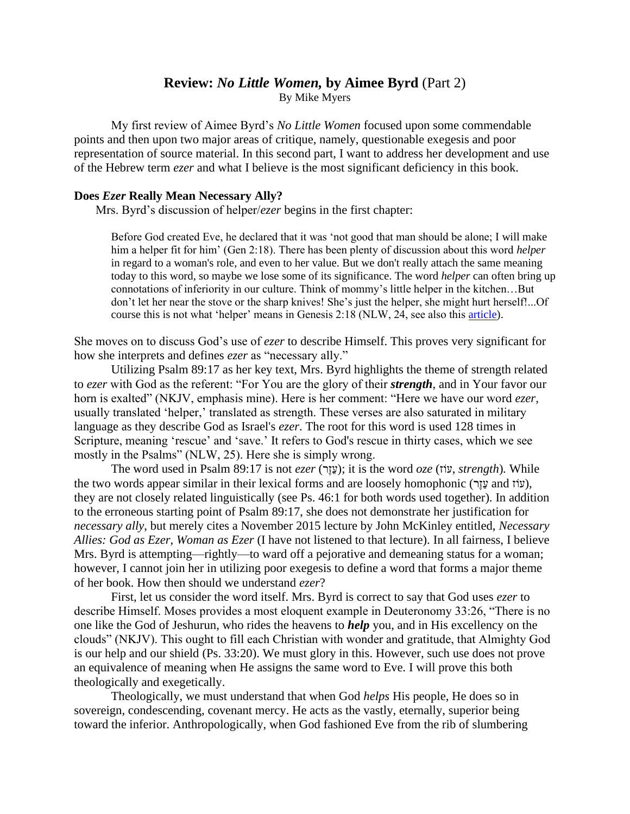## **Review:** *No Little Women,* **by Aimee Byrd** (Part 2) By Mike Myers

My first review of Aimee Byrd's *No Little Women* focused upon some commendable points and then upon two major areas of critique, namely, questionable exegesis and poor representation of source material. In this second part, I want to address her development and use of the Hebrew term *ezer* and what I believe is the most significant deficiency in this book.

## **Does** *Ezer* **Really Mean Necessary Ally?**

Mrs. Byrd's discussion of helper/*ezer* begins in the first chapter:

Before God created Eve, he declared that it was 'not good that man should be alone; I will make him a helper fit for him' (Gen 2:18). There has been plenty of discussion about this word *helper* in regard to a woman's role, and even to her value. But we don't really attach the same meaning today to this word, so maybe we lose some of its significance. The word *helper* can often bring up connotations of inferiority in our culture. Think of mommy's little helper in the kitchen…But don't let her near the stove or the sharp knives! She's just the helper, she might hurt herself!...Of course this is not what 'helper' means in Genesis 2:18 (NLW, 24, see also this [article\)](https://byfaithonline.com/always-a-woman/).

She moves on to discuss God's use of *ezer* to describe Himself. This proves very significant for how she interprets and defines *ezer* as "necessary ally."

Utilizing Psalm 89:17 as her key text, Mrs. Byrd highlights the theme of strength related to *ezer* with God as the referent: "For You are the glory of their *strength*, and in Your favor our horn is exalted" (NKJV, emphasis mine). Here is her comment: "Here we have our word *ezer,*  usually translated 'helper,' translated as strength. These verses are also saturated in military language as they describe God as Israel's *ezer*. The root for this word is used 128 times in Scripture, meaning 'rescue' and 'save.' It refers to God's rescue in thirty cases, which we see mostly in the Psalms" (NLW, 25). Here she is simply wrong.

The word used in Psalm 89:17 is not *ezer* (עֲזֶר); it is the word *oze* (עֹנָה, *strength*). While the two words appear similar in their lexical forms and are loosely homophonic (עוֹז and עֲזֶר), they are not closely related linguistically (see Ps. 46:1 for both words used together). In addition to the erroneous starting point of Psalm 89:17, she does not demonstrate her justification for *necessary ally*, but merely cites a November 2015 lecture by John McKinley entitled, *Necessary Allies: God as Ezer, Woman as Ezer* (I have not listened to that lecture). In all fairness, I believe Mrs. Byrd is attempting—rightly—to ward off a pejorative and demeaning status for a woman; however, I cannot join her in utilizing poor exegesis to define a word that forms a major theme of her book. How then should we understand *ezer*?

First, let us consider the word itself. Mrs. Byrd is correct to say that God uses *ezer* to describe Himself. Moses provides a most eloquent example in Deuteronomy 33:26, "There is no one like the God of Jeshurun, who rides the heavens to *help* you, and in His excellency on the clouds" (NKJV). This ought to fill each Christian with wonder and gratitude, that Almighty God is our help and our shield (Ps. 33:20). We must glory in this. However, such use does not prove an equivalence of meaning when He assigns the same word to Eve. I will prove this both theologically and exegetically.

Theologically, we must understand that when God *helps* His people, He does so in sovereign, condescending, covenant mercy. He acts as the vastly, eternally, superior being toward the inferior. Anthropologically, when God fashioned Eve from the rib of slumbering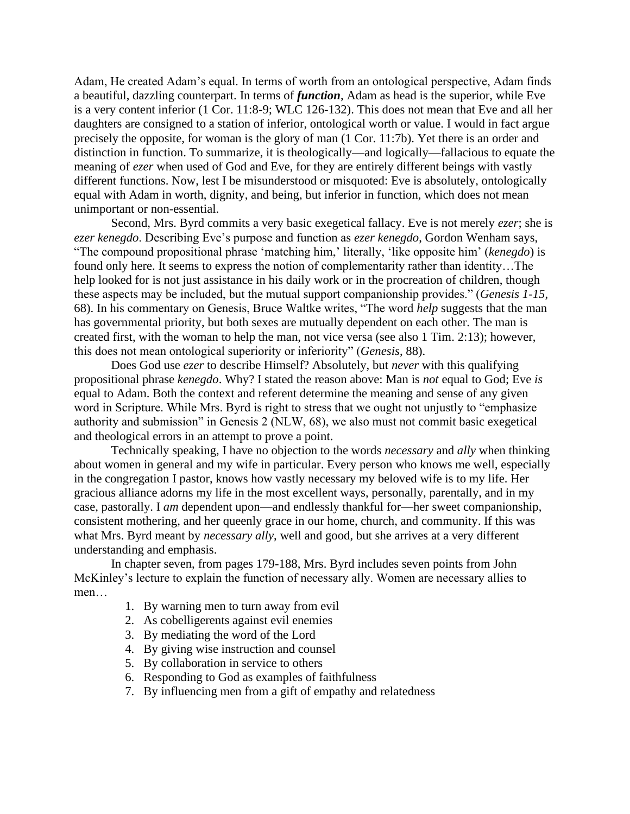Adam, He created Adam's equal. In terms of worth from an ontological perspective, Adam finds a beautiful, dazzling counterpart. In terms of *function*, Adam as head is the superior, while Eve is a very content inferior (1 Cor. 11:8-9; WLC 126-132). This does not mean that Eve and all her daughters are consigned to a station of inferior, ontological worth or value. I would in fact argue precisely the opposite, for woman is the glory of man (1 Cor. 11:7b). Yet there is an order and distinction in function. To summarize, it is theologically—and logically—fallacious to equate the meaning of *ezer* when used of God and Eve, for they are entirely different beings with vastly different functions. Now, lest I be misunderstood or misquoted: Eve is absolutely, ontologically equal with Adam in worth, dignity, and being, but inferior in function, which does not mean unimportant or non-essential.

Second, Mrs. Byrd commits a very basic exegetical fallacy. Eve is not merely *ezer*; she is *ezer kenegdo*. Describing Eve's purpose and function as *ezer kenegdo*, Gordon Wenham says, "The compound propositional phrase 'matching him,' literally, 'like opposite him' (*kenegdo*) is found only here. It seems to express the notion of complementarity rather than identity…The help looked for is not just assistance in his daily work or in the procreation of children, though these aspects may be included, but the mutual support companionship provides." (*Genesis 1-15*, 68). In his commentary on Genesis, Bruce Waltke writes, "The word *help* suggests that the man has governmental priority, but both sexes are mutually dependent on each other. The man is created first, with the woman to help the man, not vice versa (see also 1 Tim. 2:13); however, this does not mean ontological superiority or inferiority" (*Genesis*, 88).

Does God use *ezer* to describe Himself? Absolutely, but *never* with this qualifying propositional phrase *kenegdo*. Why? I stated the reason above: Man is *not* equal to God; Eve *is*  equal to Adam. Both the context and referent determine the meaning and sense of any given word in Scripture. While Mrs. Byrd is right to stress that we ought not unjustly to "emphasize authority and submission" in Genesis 2 (NLW, 68), we also must not commit basic exegetical and theological errors in an attempt to prove a point.

Technically speaking, I have no objection to the words *necessary* and *ally* when thinking about women in general and my wife in particular. Every person who knows me well, especially in the congregation I pastor, knows how vastly necessary my beloved wife is to my life. Her gracious alliance adorns my life in the most excellent ways, personally, parentally, and in my case, pastorally. I *am* dependent upon—and endlessly thankful for—her sweet companionship, consistent mothering, and her queenly grace in our home, church, and community. If this was what Mrs. Byrd meant by *necessary ally*, well and good, but she arrives at a very different understanding and emphasis.

In chapter seven, from pages 179-188, Mrs. Byrd includes seven points from John McKinley's lecture to explain the function of necessary ally. Women are necessary allies to men…

- 1. By warning men to turn away from evil
- 2. As cobelligerents against evil enemies
- 3. By mediating the word of the Lord
- 4. By giving wise instruction and counsel
- 5. By collaboration in service to others
- 6. Responding to God as examples of faithfulness
- 7. By influencing men from a gift of empathy and relatedness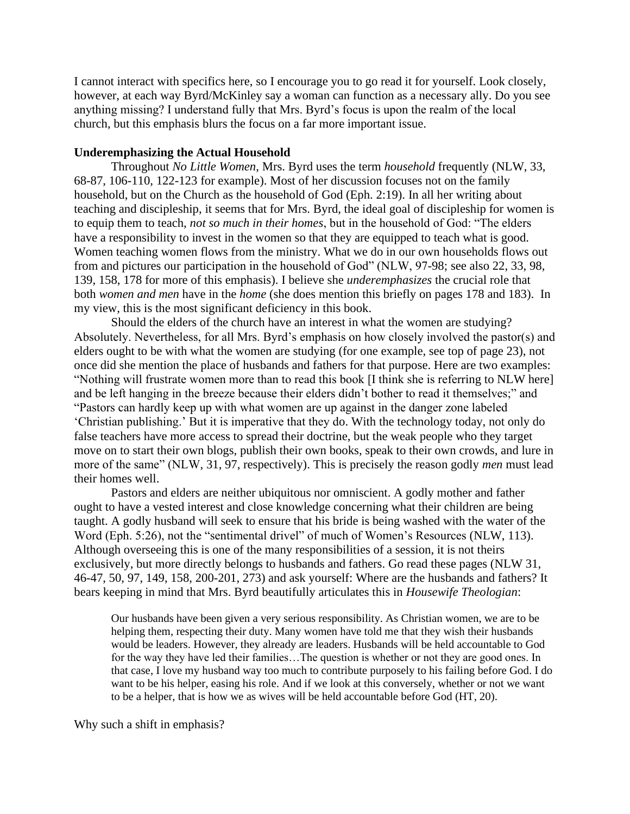I cannot interact with specifics here, so I encourage you to go read it for yourself. Look closely, however, at each way Byrd/McKinley say a woman can function as a necessary ally. Do you see anything missing? I understand fully that Mrs. Byrd's focus is upon the realm of the local church, but this emphasis blurs the focus on a far more important issue.

## **Underemphasizing the Actual Household**

Throughout *No Little Women*, Mrs. Byrd uses the term *household* frequently (NLW, 33, 68-87, 106-110, 122-123 for example). Most of her discussion focuses not on the family household, but on the Church as the household of God (Eph. 2:19). In all her writing about teaching and discipleship, it seems that for Mrs. Byrd, the ideal goal of discipleship for women is to equip them to teach, *not so much in their homes*, but in the household of God: "The elders have a responsibility to invest in the women so that they are equipped to teach what is good. Women teaching women flows from the ministry. What we do in our own households flows out from and pictures our participation in the household of God" (NLW, 97-98; see also 22, 33, 98, 139, 158, 178 for more of this emphasis). I believe she *underemphasizes* the crucial role that both *women and men* have in the *home* (she does mention this briefly on pages 178 and 183). In my view, this is the most significant deficiency in this book.

Should the elders of the church have an interest in what the women are studying? Absolutely. Nevertheless, for all Mrs. Byrd's emphasis on how closely involved the pastor(s) and elders ought to be with what the women are studying (for one example, see top of page 23), not once did she mention the place of husbands and fathers for that purpose. Here are two examples: "Nothing will frustrate women more than to read this book [I think she is referring to NLW here] and be left hanging in the breeze because their elders didn't bother to read it themselves;" and "Pastors can hardly keep up with what women are up against in the danger zone labeled 'Christian publishing.' But it is imperative that they do. With the technology today, not only do false teachers have more access to spread their doctrine, but the weak people who they target move on to start their own blogs, publish their own books, speak to their own crowds, and lure in more of the same" (NLW, 31, 97, respectively). This is precisely the reason godly *men* must lead their homes well.

Pastors and elders are neither ubiquitous nor omniscient. A godly mother and father ought to have a vested interest and close knowledge concerning what their children are being taught. A godly husband will seek to ensure that his bride is being washed with the water of the Word (Eph. 5:26), not the "sentimental drivel" of much of Women's Resources (NLW, 113). Although overseeing this is one of the many responsibilities of a session, it is not theirs exclusively, but more directly belongs to husbands and fathers. Go read these pages (NLW 31, 46-47, 50, 97, 149, 158, 200-201, 273) and ask yourself: Where are the husbands and fathers? It bears keeping in mind that Mrs. Byrd beautifully articulates this in *Housewife Theologian*:

Our husbands have been given a very serious responsibility. As Christian women, we are to be helping them, respecting their duty. Many women have told me that they wish their husbands would be leaders. However, they already are leaders. Husbands will be held accountable to God for the way they have led their families…The question is whether or not they are good ones. In that case, I love my husband way too much to contribute purposely to his failing before God. I do want to be his helper, easing his role. And if we look at this conversely, whether or not we want to be a helper, that is how we as wives will be held accountable before God (HT, 20).

Why such a shift in emphasis?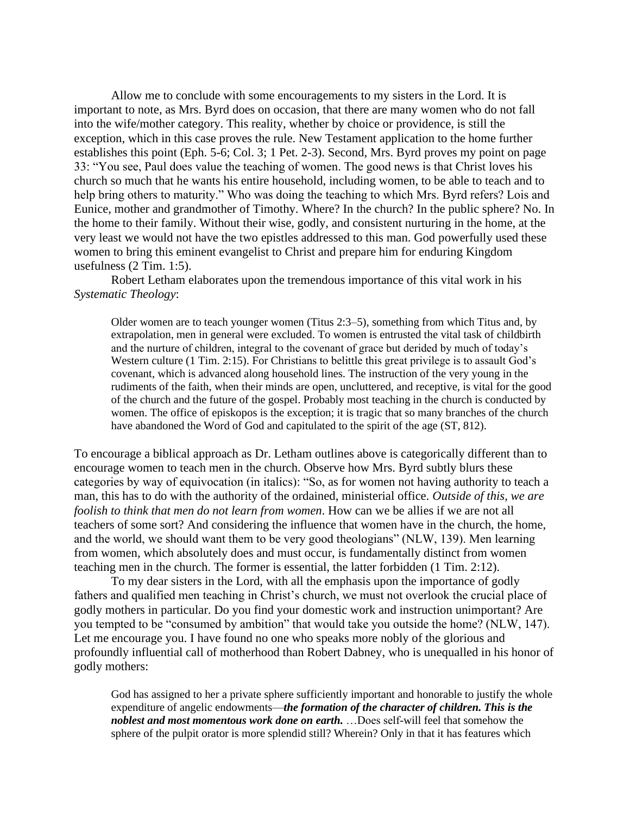Allow me to conclude with some encouragements to my sisters in the Lord. It is important to note, as Mrs. Byrd does on occasion, that there are many women who do not fall into the wife/mother category. This reality, whether by choice or providence, is still the exception, which in this case proves the rule. New Testament application to the home further establishes this point (Eph. 5-6; Col. 3; 1 Pet. 2-3). Second, Mrs. Byrd proves my point on page 33: "You see, Paul does value the teaching of women. The good news is that Christ loves his church so much that he wants his entire household, including women, to be able to teach and to help bring others to maturity." Who was doing the teaching to which Mrs. Byrd refers? Lois and Eunice, mother and grandmother of Timothy. Where? In the church? In the public sphere? No. In the home to their family. Without their wise, godly, and consistent nurturing in the home, at the very least we would not have the two epistles addressed to this man. God powerfully used these women to bring this eminent evangelist to Christ and prepare him for enduring Kingdom usefulness (2 Tim. 1:5).

Robert Letham elaborates upon the tremendous importance of this vital work in his *Systematic Theology*:

Older women are to teach younger women (Titus 2:3–5), something from which Titus and, by extrapolation, men in general were excluded. To women is entrusted the vital task of childbirth and the nurture of children, integral to the covenant of grace but derided by much of today's Western culture (1 Tim. 2:15). For Christians to belittle this great privilege is to assault God's covenant, which is advanced along household lines. The instruction of the very young in the rudiments of the faith, when their minds are open, uncluttered, and receptive, is vital for the good of the church and the future of the gospel. Probably most teaching in the church is conducted by women. The office of episkopos is the exception; it is tragic that so many branches of the church have abandoned the Word of God and capitulated to the spirit of the age (ST, 812).

To encourage a biblical approach as Dr. Letham outlines above is categorically different than to encourage women to teach men in the church. Observe how Mrs. Byrd subtly blurs these categories by way of equivocation (in italics): "So, as for women not having authority to teach a man, this has to do with the authority of the ordained, ministerial office. *Outside of this, we are foolish to think that men do not learn from women*. How can we be allies if we are not all teachers of some sort? And considering the influence that women have in the church, the home, and the world, we should want them to be very good theologians" (NLW, 139). Men learning from women, which absolutely does and must occur, is fundamentally distinct from women teaching men in the church. The former is essential, the latter forbidden (1 Tim. 2:12).

To my dear sisters in the Lord, with all the emphasis upon the importance of godly fathers and qualified men teaching in Christ's church, we must not overlook the crucial place of godly mothers in particular. Do you find your domestic work and instruction unimportant? Are you tempted to be "consumed by ambition" that would take you outside the home? (NLW, 147). Let me encourage you. I have found no one who speaks more nobly of the glorious and profoundly influential call of motherhood than Robert Dabney, who is unequalled in his honor of godly mothers:

God has assigned to her a private sphere sufficiently important and honorable to justify the whole expenditure of angelic endowments—*the formation of the character of children*. This is the *noblest and most momentous work done on earth.* …Does self-will feel that somehow the sphere of the pulpit orator is more splendid still? Wherein? Only in that it has features which